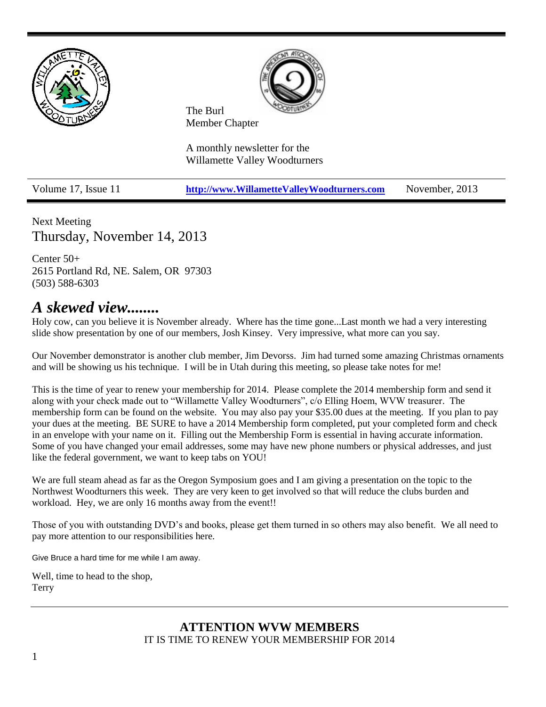

Volume 17, Issue 11 **[http://www.WillametteValleyWoodturners.com](http://www.willamettevalleywoodturners.com/)** November, 2013

Next Meeting Thursday, November 14, 2013

Center 50+ 2615 Portland Rd, NE. Salem, OR 97303 (503) 588-6303

## *A skewed view........*

Holy cow, can you believe it is November already. Where has the time gone...Last month we had a very interesting slide show presentation by one of our members, Josh Kinsey. Very impressive, what more can you say.

Our November demonstrator is another club member, Jim Devorss. Jim had turned some amazing Christmas ornaments and will be showing us his technique. I will be in Utah during this meeting, so please take notes for me!

This is the time of year to renew your membership for 2014. Please complete the 2014 membership form and send it along with your check made out to "Willamette Valley Woodturners", c/o Elling Hoem, WVW treasurer. The membership form can be found on the website. You may also pay your \$35.00 dues at the meeting. If you plan to pay your dues at the meeting. BE SURE to have a 2014 Membership form completed, put your completed form and check in an envelope with your name on it. Filling out the Membership Form is essential in having accurate information. Some of you have changed your email addresses, some may have new phone numbers or physical addresses, and just like the federal government, we want to keep tabs on YOU!

We are full steam ahead as far as the Oregon Symposium goes and I am giving a presentation on the topic to the Northwest Woodturners this week. They are very keen to get involved so that will reduce the clubs burden and workload. Hey, we are only 16 months away from the event!!

Those of you with outstanding DVD's and books, please get them turned in so others may also benefit. We all need to pay more attention to our responsibilities here.

Give Bruce a hard time for me while I am away.

Well, time to head to the shop, Terry

#### **ATTENTION WVW MEMBERS** IT IS TIME TO RENEW YOUR MEMBERSHIP FOR 2014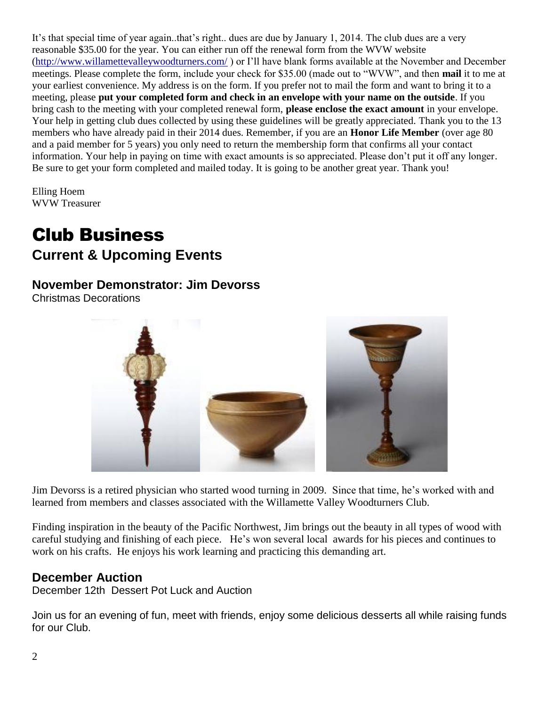It's that special time of year again..that's right.. dues are due by January 1, 2014. The club dues are a very reasonable \$35.00 for the year. You can either run off the renewal form from the WVW website [\(http://www.willamettevalleywoodturners.com/](http://www.willamettevalleywoodturners.com/) ) or I'll have blank forms available at the November and December meetings. Please complete the form, include your check for \$35.00 (made out to "WVW", and then **mail** it to me at your earliest convenience. My address is on the form. If you prefer not to mail the form and want to bring it to a meeting, please **put your completed form and check in an envelope with your name on the outside**. If you bring cash to the meeting with your completed renewal form, **please enclose the exact amount** in your envelope. Your help in getting club dues collected by using these guidelines will be greatly appreciated. Thank you to the 13 members who have already paid in their 2014 dues. Remember, if you are an **Honor Life Member** (over age 80 and a paid member for 5 years) you only need to return the membership form that confirms all your contact information. Your help in paying on time with exact amounts is so appreciated. Please don't put it off any longer. Be sure to get your form completed and mailed today. It is going to be another great year. Thank you!

Elling Hoem WVW Treasurer

# Club Business **Current & Upcoming Events**

### **November Demonstrator: Jim Devorss**

Christmas Decorations



Jim Devorss is a retired physician who started wood turning in 2009. Since that time, he's worked with and learned from members and classes associated with the Willamette Valley Woodturners Club.

Finding inspiration in the beauty of the Pacific Northwest, Jim brings out the beauty in all types of wood with careful studying and finishing of each piece. He's won several local awards for his pieces and continues to work on his crafts. He enjoys his work learning and practicing this demanding art.

### **December Auction**

December 12th Dessert Pot Luck and Auction

Join us for an evening of fun, meet with friends, enjoy some delicious desserts all while raising funds for our Club.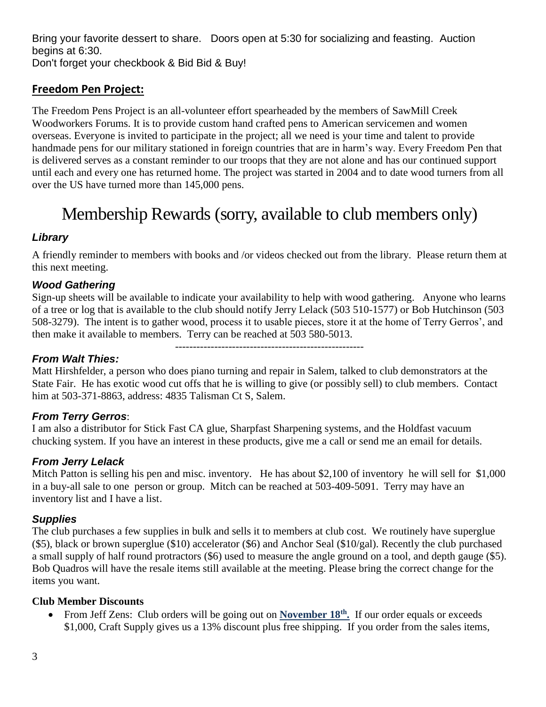Bring your favorite dessert to share. Doors open at 5:30 for socializing and feasting. Auction begins at 6:30. Don't forget your checkbook & Bid Bid & Buy!

#### **Freedom Pen Project:**

The Freedom Pens Project is an all-volunteer effort spearheaded by the members of SawMill Creek Woodworkers Forums. It is to provide custom hand crafted pens to American servicemen and women overseas. Everyone is invited to participate in the project; all we need is your time and talent to provide handmade pens for our military stationed in foreign countries that are in harm's way. Every Freedom Pen that is delivered serves as a constant reminder to our troops that they are not alone and has our continued support until each and every one has returned home. The project was started in 2004 and to date wood turners from all over the US have turned more than 145,000 pens.

## Membership Rewards (sorry, available to club members only)

#### *Library*

A friendly reminder to members with books and /or videos checked out from the library. Please return them at this next meeting.

#### *Wood Gathering*

Sign-up sheets will be available to indicate your availability to help with wood gathering. Anyone who learns of a tree or log that is available to the club should notify Jerry Lelack (503 510-1577) or Bob Hutchinson (503 508-3279). The intent is to gather wood, process it to usable pieces, store it at the home of Terry Gerros', and then make it available to members. Terry can be reached at 503 580-5013.

-----------------------------------------------------

#### *From Walt Thies:*

Matt Hirshfelder, a person who does piano turning and repair in Salem, talked to club demonstrators at the State Fair. He has exotic wood cut offs that he is willing to give (or possibly sell) to club members. Contact him at 503-371-8863, address: 4835 Talisman Ct S, Salem.

#### *From Terry Gerros*:

I am also a distributor for Stick Fast CA glue, Sharpfast Sharpening systems, and the Holdfast vacuum chucking system. If you have an interest in these products, give me a call or send me an email for details.

#### *From Jerry Lelack*

Mitch Patton is selling his pen and misc. inventory. He has about \$2,100 of inventory he will sell for \$1,000 in a buy-all sale to one person or group. Mitch can be reached at 503-409-5091. Terry may have an inventory list and I have a list.

#### *Supplies*

The club purchases a few supplies in bulk and sells it to members at club cost. We routinely have superglue (\$5), black or brown superglue (\$10) accelerator (\$6) and Anchor Seal (\$10/gal). Recently the club purchased a small supply of half round protractors (\$6) used to measure the angle ground on a tool, and depth gauge (\$5). Bob Quadros will have the resale items still available at the meeting. Please bring the correct change for the items you want.

#### **Club Member Discounts**

• From Jeff Zens: Club orders will be going out on **November 18<sup>th</sup>**. If our order equals or exceeds \$1,000, Craft Supply gives us a 13% discount plus free shipping. If you order from the sales items,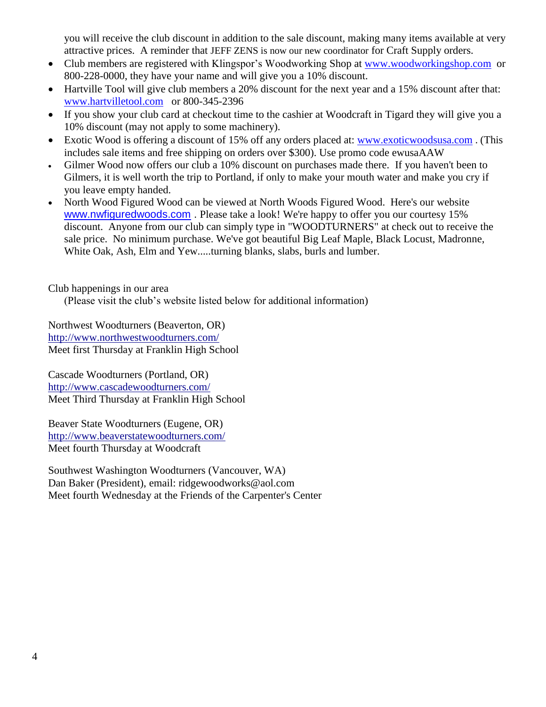you will receive the club discount in addition to the sale discount, making many items available at very attractive prices. A reminder that JEFF ZENS is now our new coordinator for Craft Supply orders.

- Club members are registered with Klingspor's Woodworking Shop at [www.woodworkingshop.com](http://www.woodworkingshop.com/) or 800-228-0000, they have your name and will give you a 10% discount.
- Hartville Tool will give club members a 20% discount for the next year and a 15% discount after that: [www.hartvilletool.com](http://www.hartvilletool.com/) or 800-345-2396
- If you show your club card at checkout time to the cashier at Woodcraft in Tigard they will give you a 10% discount (may not apply to some machinery).
- Exotic Wood is offering a discount of 15% off any orders placed at: [www.exoticwoodsusa.com](http://www.exoticwoodsusa.com/) . (This includes sale items and free shipping on orders over \$300). Use promo code ewusaAAW
- Gilmer Wood now offers our club a 10% discount on purchases made there. If you haven't been to Gilmers, it is well worth the trip to Portland, if only to make your mouth water and make you cry if you leave empty handed.
- North Wood Figured Wood can be viewed at North Woods Figured Wood. Here's our website [www.nwfiguredwoods.com](http://www.nwfiguredwoods.com/) . Please take a look! We're happy to offer you our courtesy 15% discount. Anyone from our club can simply type in "WOODTURNERS" at check out to receive the sale price. No minimum purchase. We've got beautiful Big Leaf Maple, Black Locust, Madronne, White Oak, Ash, Elm and Yew.....turning blanks, slabs, burls and lumber.

Club happenings in our area

(Please visit the club's website listed below for additional information)

Northwest Woodturners (Beaverton, OR) <http://www.northwestwoodturners.com/> Meet first Thursday at Franklin High School

Cascade Woodturners (Portland, OR) <http://www.cascadewoodturners.com/> Meet Third Thursday at Franklin High School

Beaver State Woodturners (Eugene, OR) <http://www.beaverstatewoodturners.com/> Meet fourth Thursday at Woodcraft

Southwest Washington Woodturners (Vancouver, WA) Dan Baker (President), email: [ridgewoodworks@aol.com](mailto:ridgewoodworks@aol.com) Meet fourth Wednesday at the Friends of the Carpenter's Center